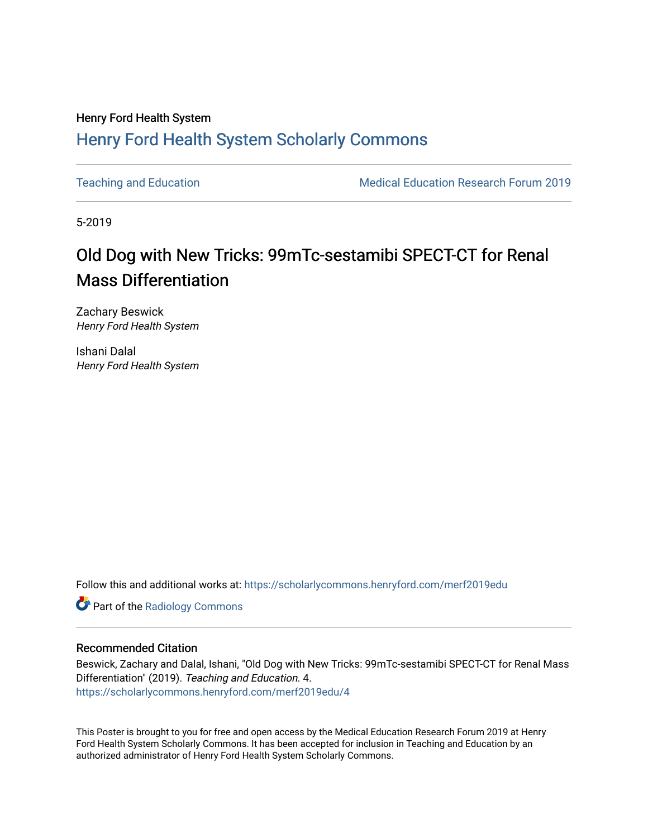#### Henry Ford Health System [Henry Ford Health System Scholarly Commons](https://scholarlycommons.henryford.com/)

[Teaching and Education](https://scholarlycommons.henryford.com/merf2019edu) **Medical Education Research Forum 2019** 

5-2019

#### Old Dog with New Tricks: 99mTc-sestamibi SPECT-CT for Renal Mass Differentiation

Zachary Beswick Henry Ford Health System

Ishani Dalal Henry Ford Health System

Follow this and additional works at: [https://scholarlycommons.henryford.com/merf2019edu](https://scholarlycommons.henryford.com/merf2019edu?utm_source=scholarlycommons.henryford.com%2Fmerf2019edu%2F4&utm_medium=PDF&utm_campaign=PDFCoverPages) 

**Part of the Radiology Commons** 

#### Recommended Citation

Beswick, Zachary and Dalal, Ishani, "Old Dog with New Tricks: 99mTc-sestamibi SPECT-CT for Renal Mass Differentiation" (2019). Teaching and Education. 4. [https://scholarlycommons.henryford.com/merf2019edu/4](https://scholarlycommons.henryford.com/merf2019edu/4?utm_source=scholarlycommons.henryford.com%2Fmerf2019edu%2F4&utm_medium=PDF&utm_campaign=PDFCoverPages) 

This Poster is brought to you for free and open access by the Medical Education Research Forum 2019 at Henry Ford Health System Scholarly Commons. It has been accepted for inclusion in Teaching and Education by an authorized administrator of Henry Ford Health System Scholarly Commons.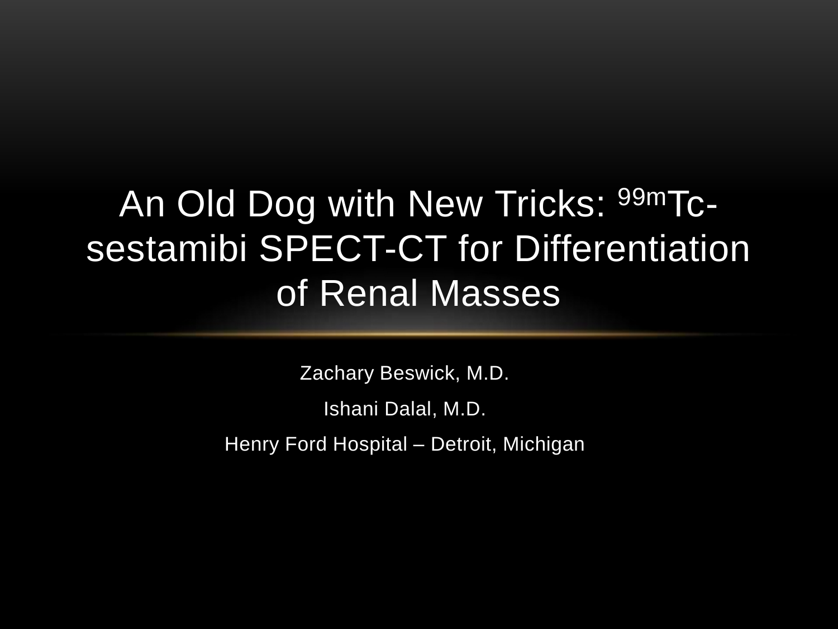# An Old Dog with New Tricks: 99mTcsestamibi SPECT-CT for Differentiation of Renal Masses

Zachary Beswick, M.D. Ishani Dalal, M.D. Henry Ford Hospital – Detroit, Michigan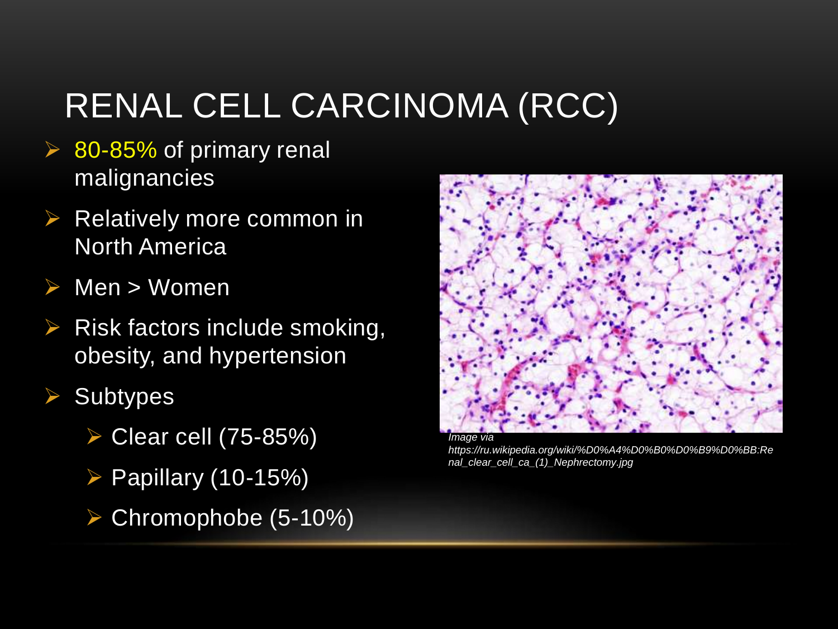#### RENAL CELL CARCINOMA (RCC)

- $\triangleright$  80-85% of primary renal malignancies
- Relatively more common in North America
- Men > Women
- Risk factors include smoking, obesity, and hypertension
- **Subtypes** 
	- Clear cell (75-85%)
	- Papillary (10-15%)
	- Chromophobe (5-10%)



*https://ru.wikipedia.org/wiki/%D0%A4%D0%B0%D0%B9%D0%BB:Re nal\_clear\_cell\_ca\_(1)\_Nephrectomy.jpg*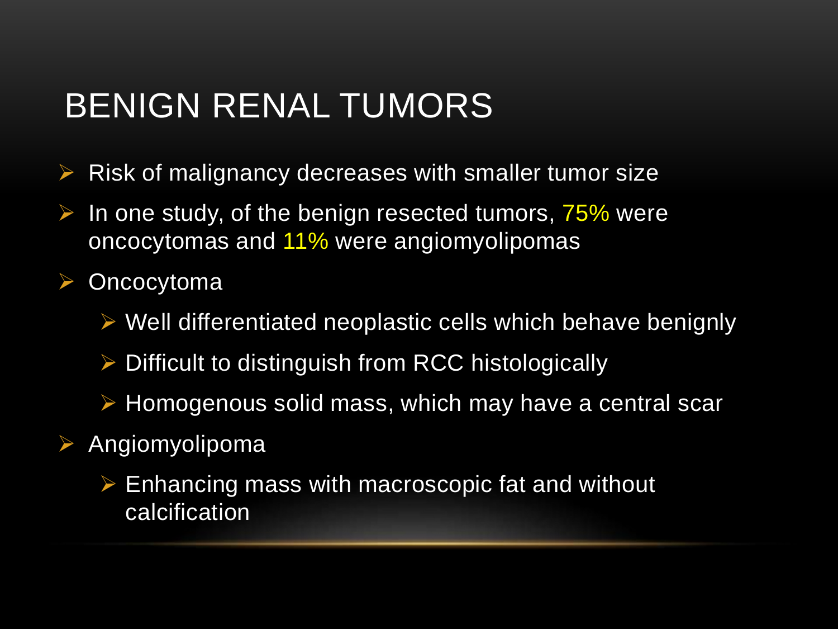#### BENIGN RENAL TUMORS

- $\triangleright$  Risk of malignancy decreases with smaller tumor size
- In one study, of the benign resected tumors, 75% were oncocytomas and 11% were angiomyolipomas
- **▶ Oncocytoma** 
	- $\triangleright$  Well differentiated neoplastic cells which behave benignly
	- $\triangleright$  Difficult to distinguish from RCC histologically
	- $\triangleright$  Homogenous solid mass, which may have a central scar
- Angiomyolipoma
	- $\triangleright$  Enhancing mass with macroscopic fat and without calcification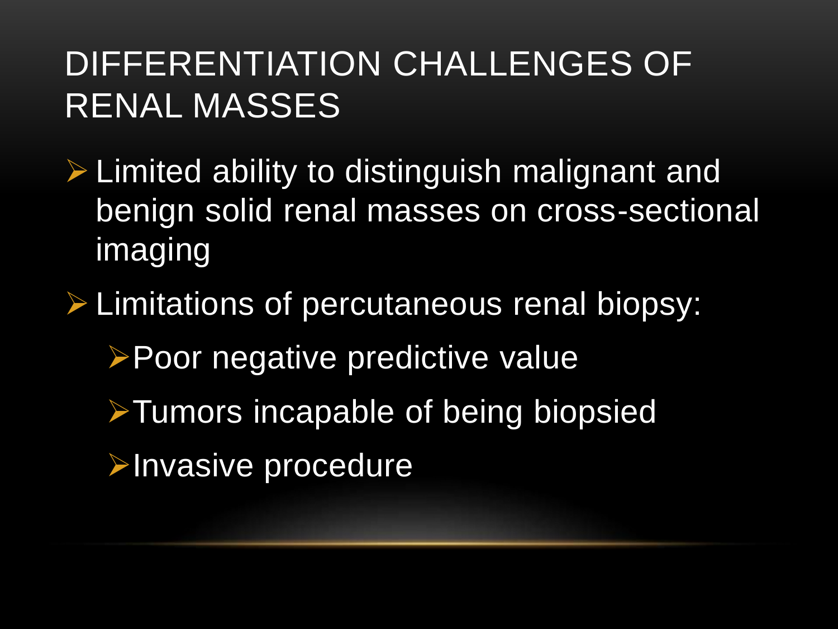#### DIFFERENTIATION CHALLENGES OF RENAL MASSES

- $\triangleright$  Limited ability to distinguish malignant and benign solid renal masses on cross-sectional imaging
- **E** Limitations of percutaneous renal biopsy:
	- **≻Poor negative predictive value**
	- **≻Tumors incapable of being biopsied**
	- **Exercise Procedure**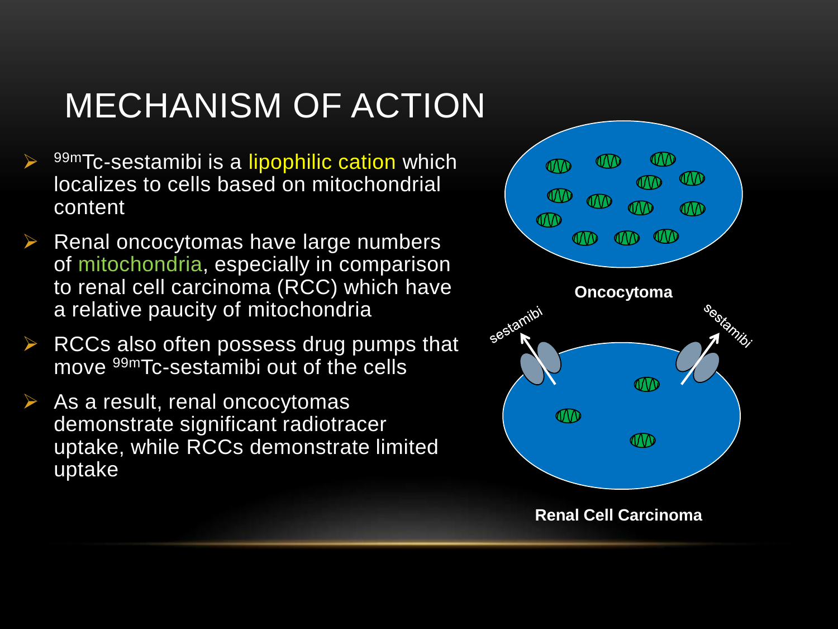### MECHANISM OF ACTION

- 99mTc-sestamibi is a lipophilic cation which localizes to cells based on mitochondrial content
- $\triangleright$  Renal oncocytomas have large numbers of mitochondria, especially in comparison to renal cell carcinoma (RCC) which have a relative paucity of mitochondria
- $\triangleright$  RCCs also often possess drug pumps that move 99mTc-sestamibi out of the cells
- $\triangleright$  As a result, renal oncocytomas demonstrate significant radiotracer uptake, while RCCs demonstrate limited uptake

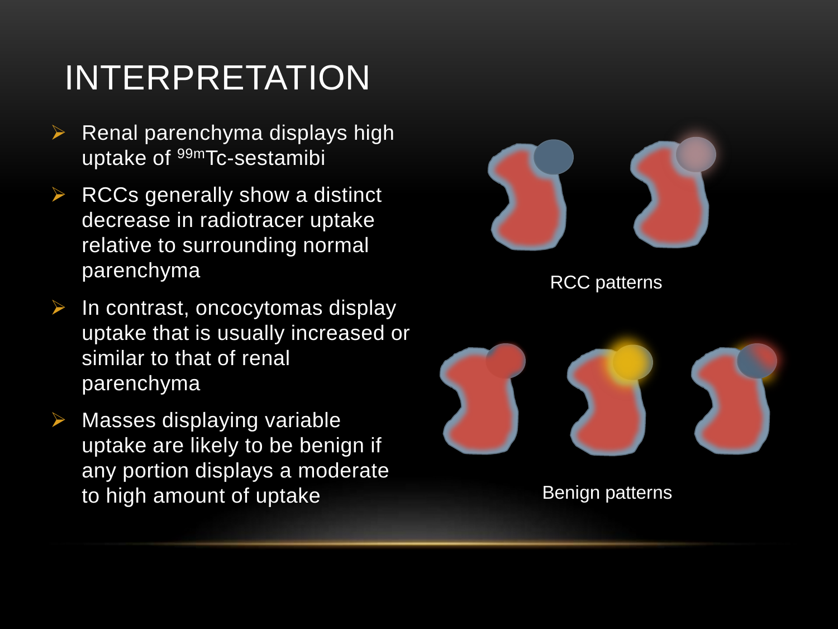### INTERPRETATION

- $\triangleright$  Renal parenchyma displays high uptake of 99mTc-sestamibi
- $\triangleright$  RCCs generally show a distinct decrease in radiotracer uptake relative to surrounding normal parenchyma
- In contrast, oncocytomas display uptake that is usually increased or similar to that of renal parenchyma
- Masses displaying variable uptake are likely to be benign if any portion displays a moderate to high amount of uptake



RCC patterns



Benign patterns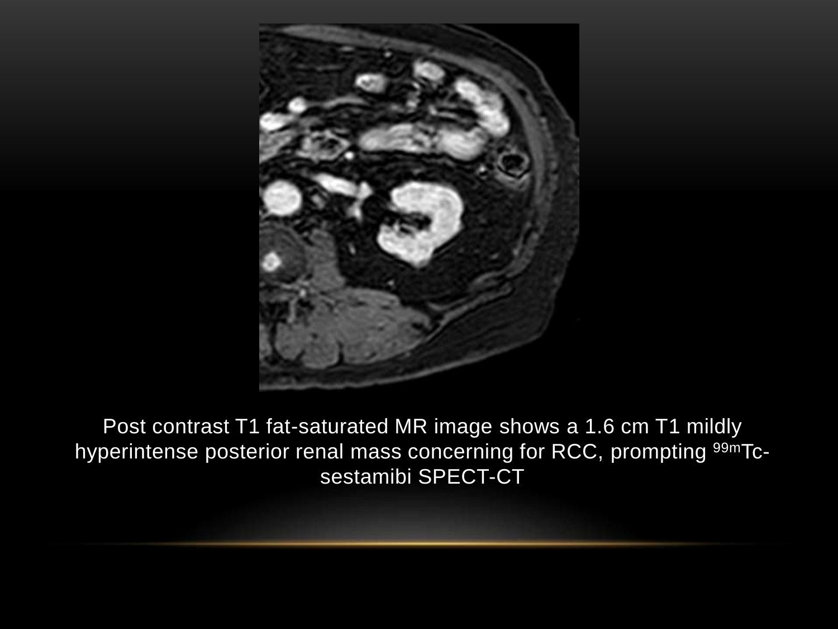

Post contrast T1 fat-saturated MR image shows a 1.6 cm T1 mildly hyperintense posterior renal mass concerning for RCC, prompting <sup>99m</sup>Tcsestamibi SPECT-CT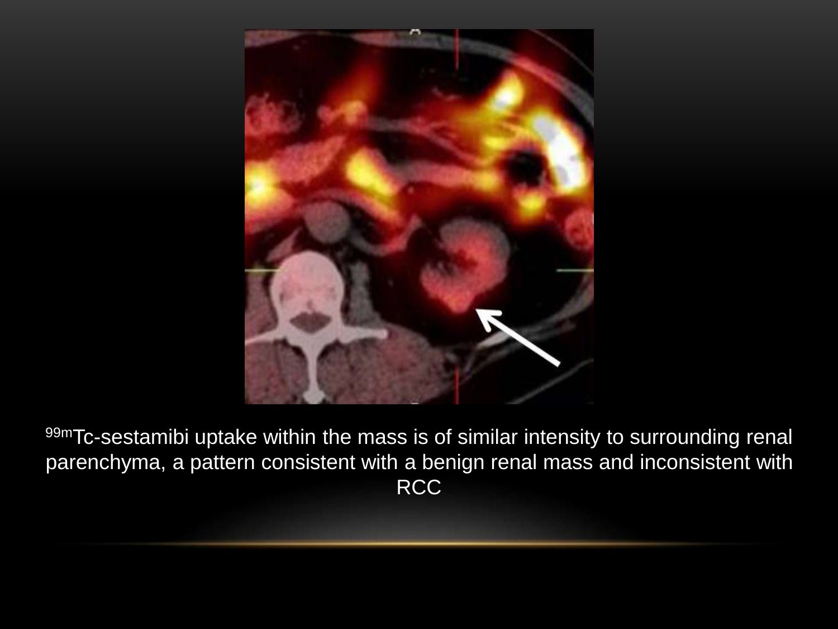

99mTc-sestamibi uptake within the mass is of similar intensity to surrounding renal parenchyma, a pattern consistent with a benign renal mass and inconsistent with RCC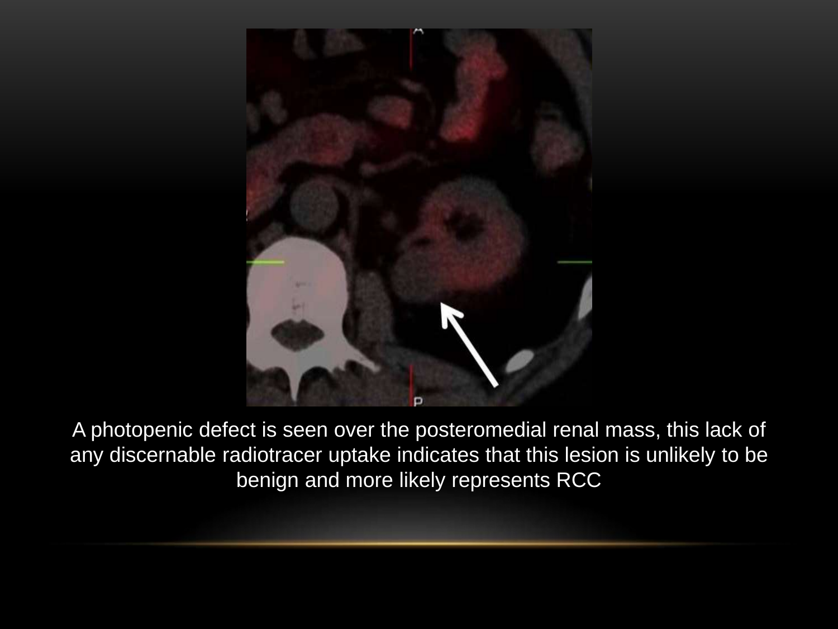

A photopenic defect is seen over the posteromedial renal mass, this lack of any discernable radiotracer uptake indicates that this lesion is unlikely to be benign and more likely represents RCC